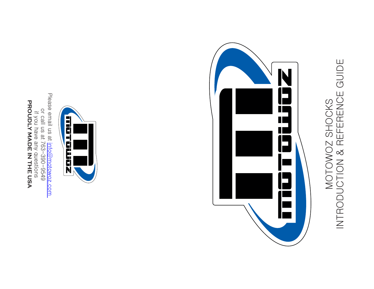# INTRODUCTION & REFERENCE GUIDE MOTOWOZ SHOCKS<br>INTRODUCTION & REFERENCE GUIDE MOTOWOZ SHOCKS





or call us at

if you have any

**PROUDLY MADE IN THE USA**

questions

763-390-9549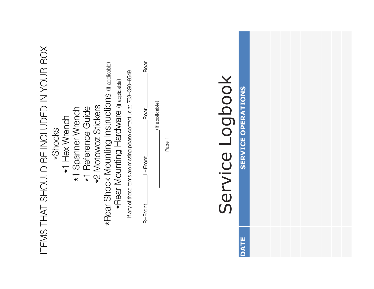| ITEMS THAT SHOULD BE INCLUDED IN YOUR BOX<br><b>*Rear Shock Mounting Instructions (if applicable)</b><br>If any of these items are missing please contact us at 763-390-9549<br>*Rear Mounting Hardware (if applicable)<br>*2 Motowoz Stickers<br>*1 Reference Guide<br>*1 Spanner Wrench<br>*1 Hex Wrench<br>*Shocks | Rear<br>Service Logbook<br>(if applicable)<br>Rear<br>$\overline{\phantom{0}}$<br>Page<br>L-Front<br>R-Front | <b>SERVICE OPERATIONS</b> |
|-----------------------------------------------------------------------------------------------------------------------------------------------------------------------------------------------------------------------------------------------------------------------------------------------------------------------|--------------------------------------------------------------------------------------------------------------|---------------------------|
|                                                                                                                                                                                                                                                                                                                       |                                                                                                              | <b>DATE</b>               |

a a shekara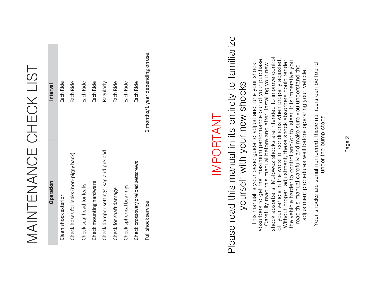# MAINTENANCE CHECK LIST MAINTENANCE CHECK LIST

| <b>Operation</b>                       | Interval                          |
|----------------------------------------|-----------------------------------|
| Clean shock exterior                   | Each Ride                         |
| Check hoses for leaks (non-piggy back) | Each Ride                         |
| Check seal head for leaks              | Each Ride                         |
| Check mounting hardware                | Each Ride                         |
| Check damper settings, sag and preload | Regularly                         |
| Check for shaft damage                 | Each Ride                         |
| Check spherical bearings               | Each Ride                         |
| Check crossover/preload setscrews      | Each Ride                         |
| Full shock service                     | 6 months/1 year depending on use. |

#### IMPORTANT IMPORTANT

## Please read this manual in its entirety to familiarize Please read this manual in its entirety to familiarize yourself with your new shocks yourself with your new shocks

absorbers to get the maximum performance out of your purchase. shock absorbers. Motowoz shocks are intended to improve control shock absorbers. Motowoz shocks are intended to improve control<br>of your vehicle in the worst of conditions when properly adjusted.<br>Without proper adjustment, these shock absorbers could render<br>the vehicle harder to control of your vehicle in the worst of conditions when properly adjusted. This manual is your basic guide to adjust and tune your shock<br>absorbers to get the maximum performance out of your purchase.<br>Carefully read this manual before and after installing your new Without proper adjustment, these shock absorbers could render the vehicle harder to control and/or to steer. It is imperative you Carefully read this manual before and after installing your new This manual is your basic guide to adjust and tune your shock read this manual carefully and make sure you understand the adjustment procedures well before operating your vehicle. adjustment procedures well before operating your vehicle.

Your shocks are serial numbered, these numbers can be found Your shocks are serial numbered, these numbers can be found under the bump stops under the bump stops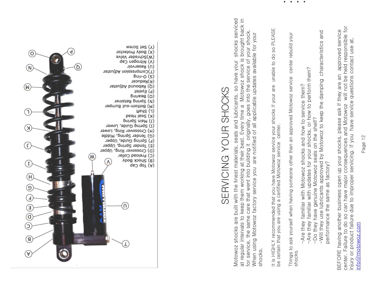

center. Failure to do so can have major consequences and Motowoz will not be held responsible for center. Failure to do so can have major consequences and Motowoz will not be held responsible for BEFORE having another business open up your shocks, please ask if they are an approved service approved service injury or product failure due to improper servicing. If you have service questions contact use at, injury or product failure due to improper servicing. If you have service questions contact use at, BEFORE having another business open up your shocks, please ask if they are an info@motowoz.com info $@$ motowoz.com

# SERVICING YOUR SHOCKS SERVICING YOUR SHOCKS

(X) Set Screw<br>(X) Body Protector

(W)Schrader Valve (V) Nitrogen Cap (U) Reservoir

> $b$ uµ- $O(S)$ (R)Reducer

(P) Eyelet co) Bearing (N) Spring Retainer (M) Bottom-out Bumper

> (T) aug (K) Seal Head

buinds uiew (r)

(C) Preload Collar

(A) Top Cap<br>(A) Top Cap

(T)Compression Adjuster

(Q) Rebound Adjuster

(I) Spring Guide, Lower

(H) Crossover Ring, Lower (c) Tender Spring, Middle (F) Spring Guide, Upper (E) Tender Spring, Upper (D) Crossover Ring, Upper

⋒

M

 $\lambda$ 

İ

 $\overline{\mathsf{d}}$ 

ര

์ผ

 $\left( H\right)$ 

<u>ອ</u>

€

€ σ

e)

A

Motowoz shocks are built with the finest materials, seals and lubricants, so have your shocks serviced at regular intervals to keep them working at their best. Every time a Motowoz shock is brought back in Motowoz shocks are built with the finest materials, seals and lubricants, so have your shocks serviced at regular intervals to keep them working at their best. Every time a Motowoz shock is brought back in for service, the same care that went into building it originally, goes into the service of your shock. for service, the same care that went into building it originally, goes into the service of your shock. When using Motowoz factory service you are notified of all applicable updates available for your When using Motowoz factory service you are notified of all applicable updates available for your shocks.

It is HIGHLY recommended that you have Motowoz service your shocks if your are unable to do so PLEASE It is HIGHLY recommended that you have Motowoz service your shocks if your are unable to do so PLEASE be certain that you are using a certified Motowoz service center. be certain that you are using a certified Motowoz service center

Things to ask yourself when having someone other than an approved Motowoz service center rebuild your Things to ask yourself when having someone other than an approved Motowoz service center rebuild your shocks.

••••

> -Are they familiar with Motowoz shocks and how to service them? -Are they familiar with Motowoz shocks and how to service them?

-Are they familiar with updates for your shocks, or how to perform them? -Are they familiar with updates for your shocks, or how to perform them?

-Do they have genuine Motowoz seals on the shelf? -Do they have genuine Motowoz seals on the shelf?

-Will they use lubricants approved by Motowoz to keep the damping characteristics and<br>performance the same as factory? -Will they use lubricants approved by Motowoz to keep the damping characteristics and performance the same as factory?

Page 12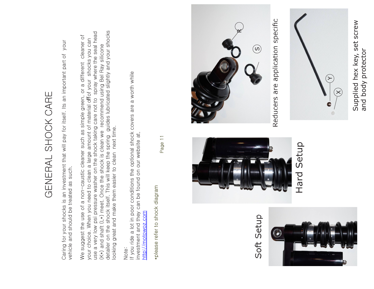Supplied hex key, set screw Supplied hex key, set screw and body protector and body protector



Reducers are application specific



GENERAL SHOCK CARE

GENERAL SHOCK CARE

Caring for your shocks is an investment that will pay for itself. Its an important part of your

Caring for your shocks is an investment that will pay for itself. Its an important part of your

We suggest the use of a non-caustic cleaner such as simple green, or a different cleaner of your choice. When you need to clean a large amount of material offof your shocks you can use a very low psi pressure washer on the shock taking care not to spray where the seal head (K $\star$ ) and shaft (L $\star$ ) meet. Once the shock is clean we recommend using Bel Ray silicone detailer on the shock itself. This will keep the spring guides lubricated slightly and your shocks

We suggest the use of a non-caustic cleaner such as simple green, or a different cleaner of your choice. When you need to clean a large amount of material offof your shocks you can

looking great and make them easier to clean next time.

looking great and make them easier to clean next time.

detailer on the shock itself. This will keep the spring guides lubricated slightly and your shocks

use a very low psi pressure washer on the shock taking care not to spray where the seal head

(K\*) and shaft (L\*) meet. Once the shock is clean we recommend using Bel Ray silicone

If you ride a lot in poor conditions the optional shock covers are a worth while

If you ride a lot in poor conditions the optional shock covers are a worth while

investment and they can be found on our website at,

investment and they can be found on our website at,

http://motowoz.com

http://motowoz.com

\*please refer to shock diagram

\*please refer to shock diagram

Page 11

Note:

vehicle and should be treated as such.

vehicle and should be treated as such.













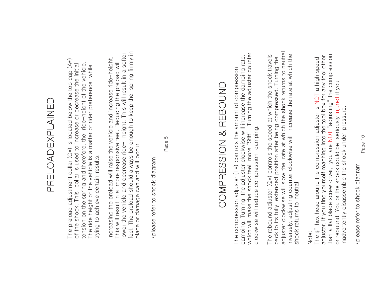### PRELOADEXPLAINED PRELOADEXPLAINED

The preload adjustment collar  $(C*)$  is located below the top cap  $(A*)$ The preload adjustment collar (C\*) is located below the top cap  $(A*)$ tension on the spring and therefore, the ride-height of the vehicle. of the shock. This collar is used to increase or decrease the initial tension on the spring and therefore, the ride-height of the vehicle. of the shock. This collar is used to increase or decrease the initial The ride height of the vehicle is a matter of rider preference while The ride height of the vehicle is a matter of rider preference while trying to achieve certain results. trying to achieve certain results.

feel. The preload should always be enough to keep the spring firmly in lower the vehicle and decrease ride- height. This will result in a softer feel. The preload should always be enough to keep the spring firmly in<br>place or damage can and will occur. lower the vehicle and decrease ride- height. This will result in a softer Increasing the preload will raise the vehicle and increase ride-height. Increasing the preload will raise the vehicle and increase ride-height. This will result in a more responsive feel. Reducing the preload will This will result in a more responsive feel. Reducing the preload will place or damage can and will occur.

\*please refer to shock diagram \*please refer to shock diagram Page 5

# COMPRESSION & REBOUND COMPRESSION & REBOUND

which will make the shock feel more "Stiff" . Turning the adjuster counter The compression adjuster (T\*) controls the amount of compression<br>damping. Turning the adjuster clockwise will increase the damping rate,<br>which will make the shock feel more "Stiff". Turning the adjuster counter damping. Turning the adjuster clockwise will increase the damping rate, The compression adjuster (T\*) controls the amount of compression clockwise will reduce compression damping. clockwise will reduce compression damping.

adjuster clockwise will slow the rate at which the shock returns to neutral. adjuster clockwise will slow the rate at which the shock returns to neutral. The rebound adjuster (Q\*) controls the speed at which the shock travels Inversely, adjusting counter clockwise will increase the rate at which the Inversely, adjusting counter clockwise will increase the rate at which the The rebound adjuster (Q\*) controls the speed at which the shock travels back to its fully extended position after being compressed. Turning the back to its fully extended position after being compressed. Turning the shock returns to neutral. shock returns to neutral.

#### Note:

than a flat blade screw driver, you are NOT "adjusting" the compression adjuster. If you find yourself reaching into the tool box for any tool other<br>than a flat blade screw driver, you are NOT "adjusting" the compression adjuster. If you find yourself reaching into the tool box for any tool other The ¾" hex head around the compression adjuster is NOT a high speed The  $\frac{3}{4}$ " hex head around the compression adjuster is NOT a high speed or rebound. You or the shock could be seriously injured if you or rebound. You or the shock could be seriously injured if you inadvertently disassemble the shock under pressure. inadvertently disassemble the shock under pressure.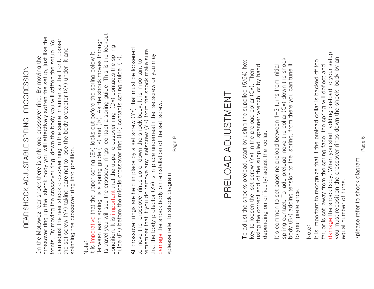# REAR SHOCK ADJUSTABLE SPRING PROGRESSION REAR SHOCK ADJUSTABLE SPRING PROGRESSION

crossover ring up the shock body you will effectively soften the setup, just like the fronts. By moving the crossover ring down the body you will stiffen the setup. You can adjust the rear shock crossover ring in the same manner as the front. Loosen fronts. By moving the crossover ring down the body you will stiffen the setup. You crossover ring up the shock body you will effectively soften the setup, just like the can adjust the rear shock crossover ring in the same manner as the front. Loosen the set screw (Y\*) taking care not to lose the body protector (X\*) under it and the set screw (Y\*) taking care not to lose the body protector (X\*) under it and On the Motowoz rear shock there is only one crossover ring. By moving the On the Motowoz rear shock there is only one crossover ring. By moving the spinning the crossover ring into position. spinning the crossover ring into position.

#### Note:

its travel you will see the crossover rings contact a spring guide. This is the lockout its travel you will see the crossover rings contact a spring guide. This is the lockout Between each spring is a spring guide (F\*) and (I\*). As the shock moves through Between each spring is a spring guide (F\*) and (I\*). As the shock moves through condition. It is important that the upper crossover ring (D\*) contacts the spring condition. It is important that the upper crossover ring (D\*) contacts the spring It is imperative that the upper spring (E\*) locks out before the spring below it. It is imperative that the upper spring (E\*) locks out before the spring below it. guide (F\*) before the middle crossover ring (H\*) contacts spring guide (I\*). guide (F\*) before the middle crossover ring (H\*) contacts spring guide (I\*).

All crossover rings are held in place by a set screw (Y\*) that must be loosened All crossover rings are held in place by a set screw (Y\*) that must be loosened remember that if you do remove any setscrew (Y\*) from the shock make sure remember that if you do remove any setscrew (Y\*) from the shock make sure that the body protector (X\*) is in place underneath the setscrew or you may that the body protector (X\*) is in place underneath the setscrew or you may to move the crossover rings up or down the shock body. It is important to to move the crossover rings up or down the shock body. It is important to damage the shock body on reinstallation of the set screw. damage the shock body on reinstallation of the set screw.

\*please refer to shock diagram \*please refer to shock diagram

Page 9

## PRELOAD ADJUSTMENTPRELOAD ADJUSTMENT

To adjust the shocks preload, start by using the supplied (5/64) hex To adjust the shocks preload, start by using the supplied (5/64) hex using the correct end of the supplied spanner wrench, or by hand using the correct end of the supplied spanner wrench, or by hand key to loosen the set screw  $(Y*)$  in the preload collar  $(C*)$ . Then key to loosen the set screw  $(Y*)$  in the preload collar  $(C*)$ . Then depending on difficulty; adjust the collar. depending on difficulty; adjust the collar.

spring contact. To add preload move the collar (C\*) down the shock spring contact. To add preload move the collar (C\*) down the shock body (B\*) adding tension to the spring, from there you can tune it It's common to set baseline preload between 1-3 turns from initial body (B\*) adding tension to the spring, from there you can tune it It's common to set baseline preload between 1-3 turns from initial to your preference. to your preference.

#### Note:

damage the shock body. When you start adding preload to your setup damage the shock body. When you start adding preload to your setup you must reposition the crossover rings down the shock body by an you must reposition the crossover rings down the shock body by an It is important to recognize that if the preload collar is backed off too It is important to recognize that if the preload collar is backed off too far, or is set away from the spring face, the spring will deflect and far, or is set away from the spring face, the spring will deflect and equal number of turns. equal number of turns.